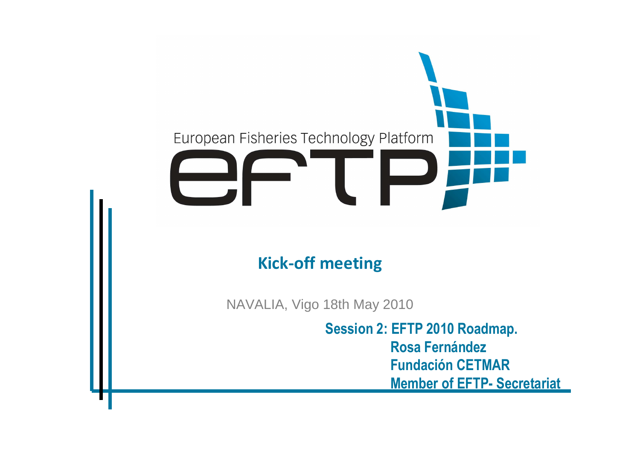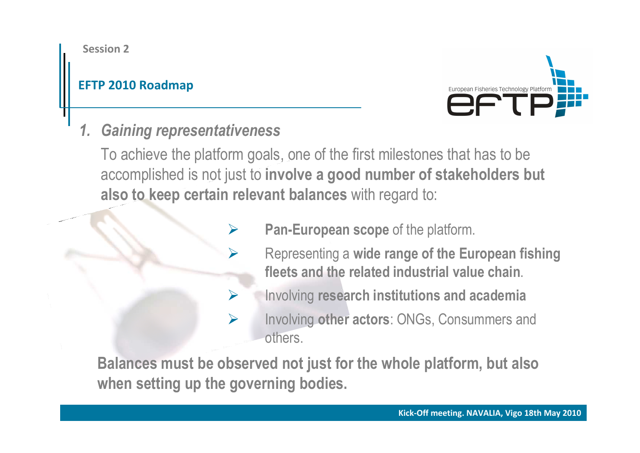#### **EFTP 2010 Roadmap**



### *1. Gaining representativeness*

 $\blacktriangleright$ 

 $\blacktriangleright$ 

To achieve the platform goals, one of the first milestones that has to be accomplished is not just to **involve a good number of stakeholders but also to keep certain relevant balances** with regard to:

- $\blacktriangleright$  **Pan-European scope** of the platform.
	- Representing a **wide range of the European fishing fleets and the related industrial value chain**.
	- Involving **research institutions and academia**
- $\blacktriangleright$  Involving **other actors**: ONGs, Consummers and others.

**Balances must be observed not just for the whole platform, but alsowhen setting up the governing bodies.**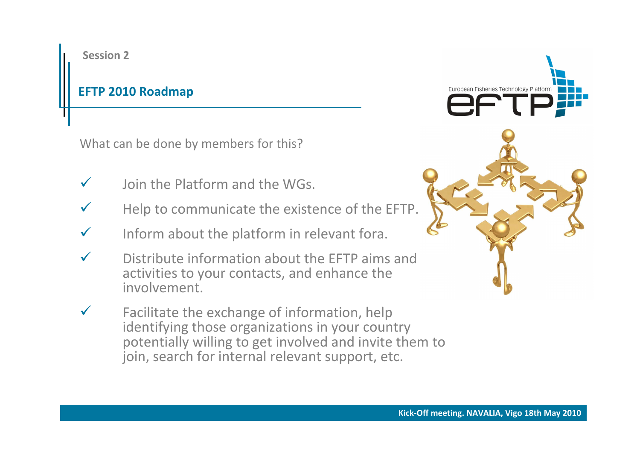#### **EFTP 2010 Roadmap**

What can be done by members for this?

- $\checkmark$ Join the Platform and the WGs.
- $\checkmark$ Help to communicate the existence of the EFTP.
- $\checkmark$ Inform about the platform in relevant fora.
- $\checkmark$  Distribute information about the EFTP aims and activities to your contacts, and enhance the involvement.
- $\checkmark$  Facilitate the exchange of information, help identifying those organizations in your country potentially willing to get involved and invite them to join, search for internal relevant support, etc.

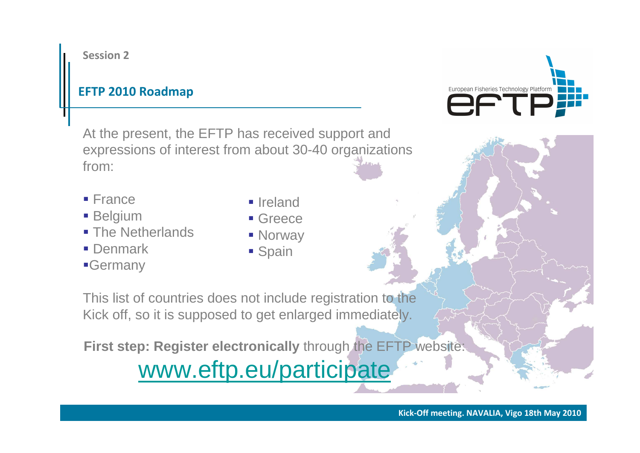#### **EFTP 2010 Roadmap**

At the present, the EFTP has received support and expressions of interest from about 30-40 organizations from:

- **France**
- **Belgium**
- The Netherlands
- **Denmark**
- Germany
- **I**reland
- **Greece**
- **Norway**
- **Spain**

This list of countries does not include registration to the Kick off, so it is supposed to get enlarged immediately.

**First step: Register electronically** through the EFTP website:

# www.eftp.eu/participate

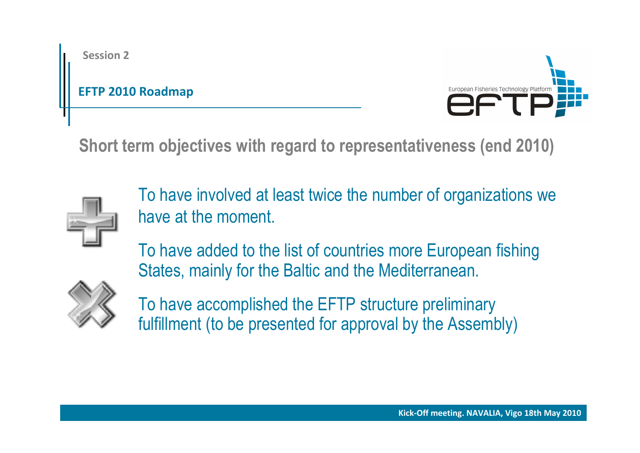### **EFTP 2010 Roadmap**



**Short term objectives with regard to representativeness (end 2010)**



To have involved at least twice the number of organizations we have at the moment.

To have added to the list of countries more European fishing States, mainly for the Baltic and the Mediterranean.



To have accomplished the EFTP structure preliminaryfulfillment (to be presented for approval by the Assembly)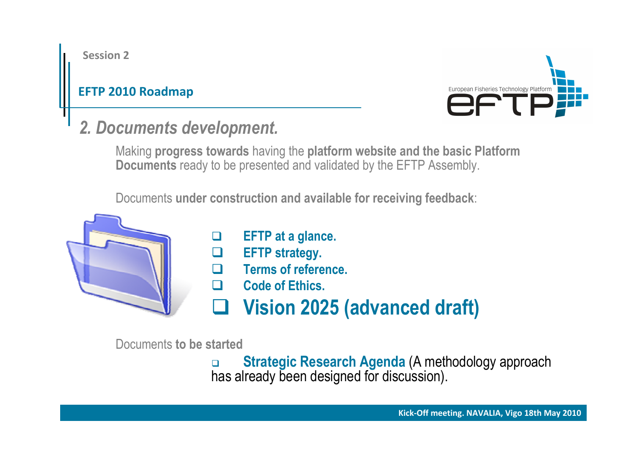### **EFTP 2010 Roadmap**



### *2. Documents development.*

Making **progress towards** having the **platform website and the basic PlatformDocuments** ready to be presented and validated by the EFTP Assembly.

Documents **under construction and available for receiving feedback**:



Documents **to be started**

 $\Box$  **Strategic Research Agenda** (A methodology approach has already been designed for discussion).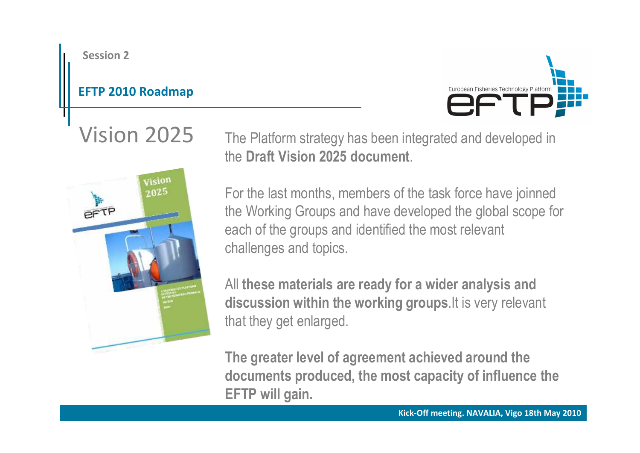### **EFTP 2010 Roadmap**



Vision <sup>2025</sup>



The Platform strategy has been integrated and developed inthe **Draft Vision 2025 document**.

For the last months, members of the task force have joinned the Working Groups and have developed the global scope foreach of the groups and identified the most relevant challenges and topics.

All **these materials are ready for a wider analysis and discussion within the working groups**.It is very relevant that they get enlarged.

**The greater level of agreement achieved around the documents produced, the most capacity of influence theEFTP will gain.**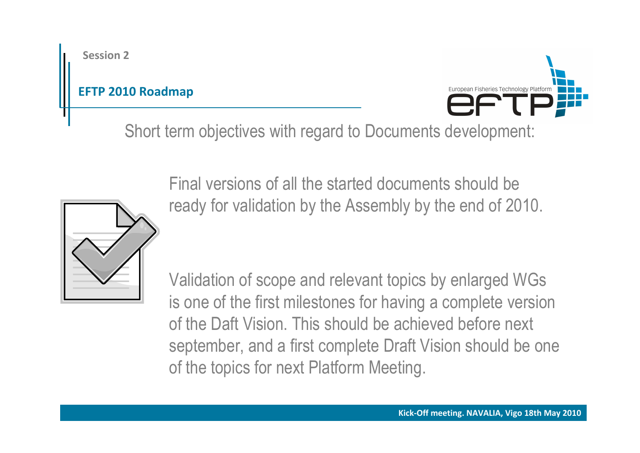### **EFTP 2010 Roadmap**



Short term objectives with regard to Documents development:



Final versions of all the started documents should be ready for validation by the Assembly by the end of 2010.

Validation of scope and relevant topics by enlarged WGs is one of the first milestones for having a complete versionof the Daft Vision. This should be achieved before next september, and a first complete Draft Vision should be oneof the topics for next Platform Meeting.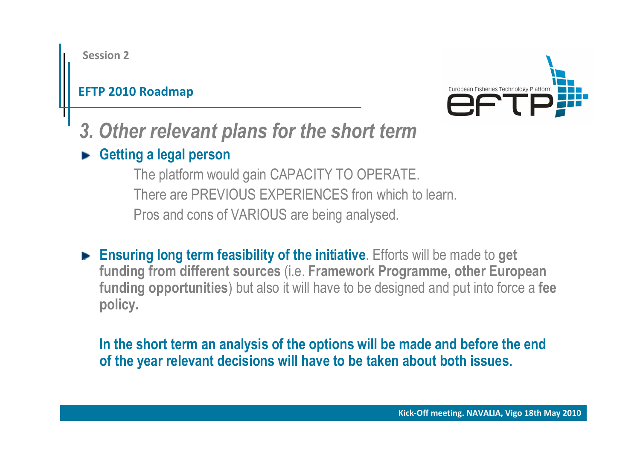### **EFTP 2010 Roadmap**



- *3. Other relevant plans for the short term*
- **Getting a legal person**

 The platform would gain CAPACITY TO OPERATE. There are PREVIOUS EXPERIENCES fron which to learn. Pros and cons of VARIOUS are being analysed.

**Ensuring long term feasibility of the initiative**. Efforts will be made to **get funding from different sources** (i.e. **Framework Programme, other European funding opportunities**) but also it will have to be designed and put into force <sup>a</sup>**feepolicy.**

In the short term an analysis of the options will be made and before the end of the year relevant decisions will have to be taken about both issues.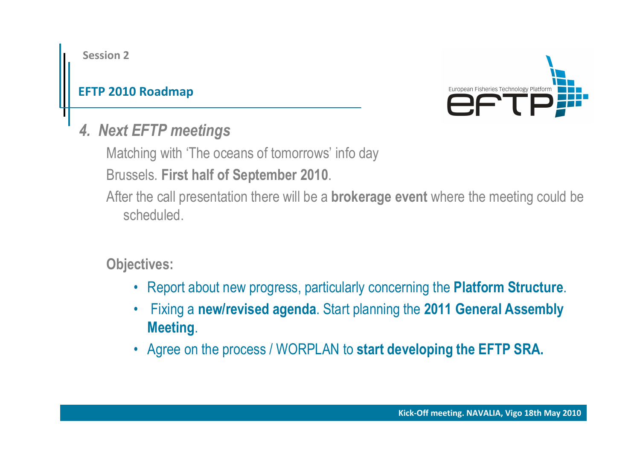### **EFTP 2010 Roadmap**



*4. Next EFTP meetings*

Matching with 'The oceans of tomorrows' info day

Brussels. **First half of September 2010**.

After the call presentation there will be a **brokerage event** where the meeting could be scheduled.

**Objectives:**

- Report about new progress, particularly concerning the **Platform Structure**.
- • Fixing <sup>a</sup>**new/revised agenda**. Start planning the **2011 General Assembly Meeting**.
- Agree on the process / WORPLAN to **start developing the EFTP SRA.**